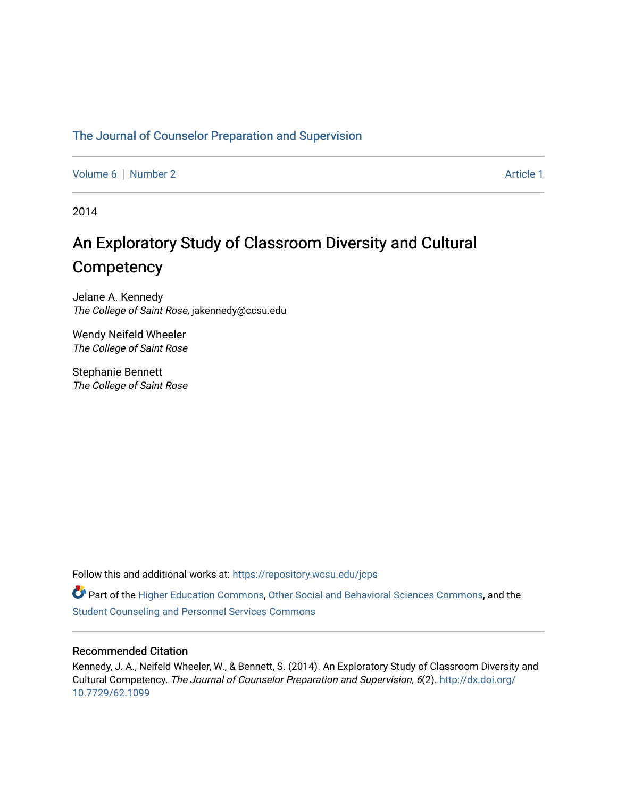## [The Journal of Counselor Preparation and Supervision](https://repository.wcsu.edu/jcps)

[Volume 6](https://repository.wcsu.edu/jcps/vol6) | [Number 2](https://repository.wcsu.edu/jcps/vol6/iss2) Article 1

2014

# An Exploratory Study of Classroom Diversity and Cultural **Competency**

Jelane A. Kennedy The College of Saint Rose, jakennedy@ccsu.edu

Wendy Neifeld Wheeler The College of Saint Rose

Stephanie Bennett The College of Saint Rose

Follow this and additional works at: [https://repository.wcsu.edu/jcps](https://repository.wcsu.edu/jcps?utm_source=repository.wcsu.edu%2Fjcps%2Fvol6%2Fiss2%2F1&utm_medium=PDF&utm_campaign=PDFCoverPages) 

Part of the [Higher Education Commons,](http://network.bepress.com/hgg/discipline/1245?utm_source=repository.wcsu.edu%2Fjcps%2Fvol6%2Fiss2%2F1&utm_medium=PDF&utm_campaign=PDFCoverPages) [Other Social and Behavioral Sciences Commons,](http://network.bepress.com/hgg/discipline/437?utm_source=repository.wcsu.edu%2Fjcps%2Fvol6%2Fiss2%2F1&utm_medium=PDF&utm_campaign=PDFCoverPages) and the [Student Counseling and Personnel Services Commons](http://network.bepress.com/hgg/discipline/802?utm_source=repository.wcsu.edu%2Fjcps%2Fvol6%2Fiss2%2F1&utm_medium=PDF&utm_campaign=PDFCoverPages)

## Recommended Citation

Kennedy, J. A., Neifeld Wheeler, W., & Bennett, S. (2014). An Exploratory Study of Classroom Diversity and Cultural Competency. The Journal of Counselor Preparation and Supervision, 6(2). [http://dx.doi.org/](http://dx.doi.org/10.7729/62.1099) [10.7729/62.1099](http://dx.doi.org/10.7729/62.1099)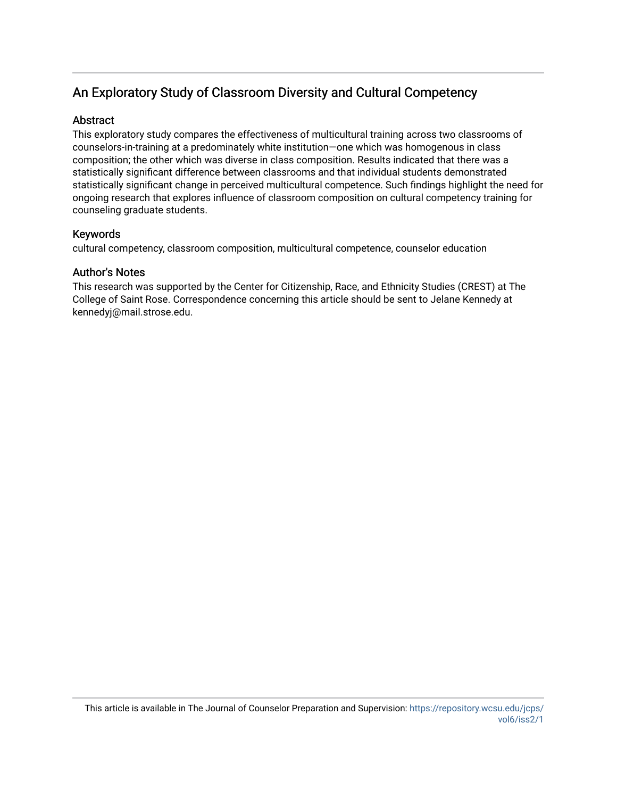## An Exploratory Study of Classroom Diversity and Cultural Competency

## **Abstract**

This exploratory study compares the effectiveness of multicultural training across two classrooms of counselors-in-training at a predominately white institution—one which was homogenous in class composition; the other which was diverse in class composition. Results indicated that there was a statistically significant difference between classrooms and that individual students demonstrated statistically significant change in perceived multicultural competence. Such findings highlight the need for ongoing research that explores influence of classroom composition on cultural competency training for counseling graduate students.

## Keywords

cultural competency, classroom composition, multicultural competence, counselor education

## Author's Notes

This research was supported by the Center for Citizenship, Race, and Ethnicity Studies (CREST) at The College of Saint Rose. Correspondence concerning this article should be sent to Jelane Kennedy at kennedyj@mail.strose.edu.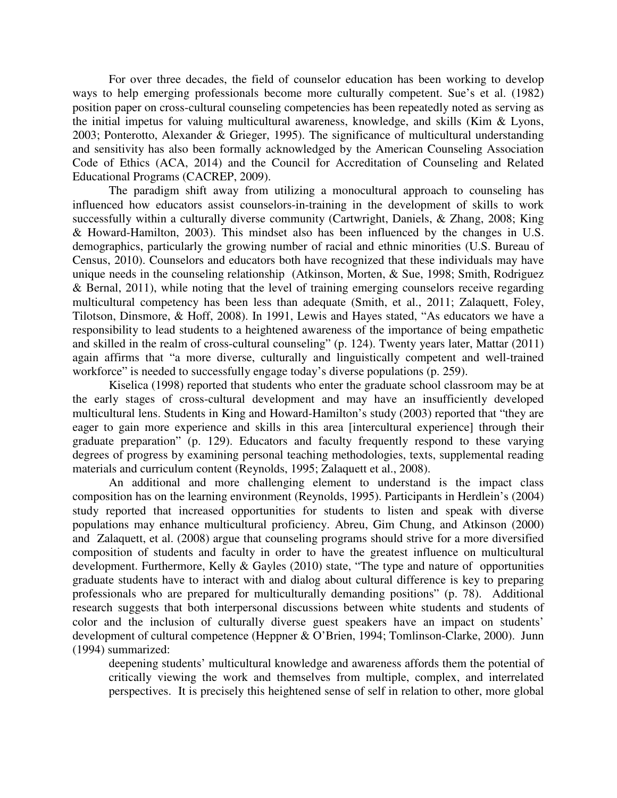For over three decades, the field of counselor education has been working to develop ways to help emerging professionals become more culturally competent. Sue's et al. (1982) position paper on cross-cultural counseling competencies has been repeatedly noted as serving as the initial impetus for valuing multicultural awareness, knowledge, and skills (Kim & Lyons, 2003; Ponterotto, Alexander & Grieger, 1995). The significance of multicultural understanding and sensitivity has also been formally acknowledged by the American Counseling Association Code of Ethics (ACA, 2014) and the Council for Accreditation of Counseling and Related Educational Programs (CACREP, 2009).

The paradigm shift away from utilizing a monocultural approach to counseling has influenced how educators assist counselors-in-training in the development of skills to work successfully within a culturally diverse community (Cartwright, Daniels, & Zhang, 2008; King & Howard-Hamilton, 2003). This mindset also has been influenced by the changes in U.S. demographics, particularly the growing number of racial and ethnic minorities (U.S. Bureau of Census, 2010). Counselors and educators both have recognized that these individuals may have unique needs in the counseling relationship (Atkinson, Morten, & Sue, 1998; Smith, Rodriguez & Bernal, 2011), while noting that the level of training emerging counselors receive regarding multicultural competency has been less than adequate (Smith, et al., 2011; Zalaquett, Foley, Tilotson, Dinsmore, & Hoff, 2008). In 1991, Lewis and Hayes stated, "As educators we have a responsibility to lead students to a heightened awareness of the importance of being empathetic and skilled in the realm of cross-cultural counseling" (p. 124). Twenty years later, Mattar (2011) again affirms that "a more diverse, culturally and linguistically competent and well-trained workforce" is needed to successfully engage today's diverse populations (p. 259).

Kiselica (1998) reported that students who enter the graduate school classroom may be at the early stages of cross-cultural development and may have an insufficiently developed multicultural lens. Students in King and Howard-Hamilton's study (2003) reported that "they are eager to gain more experience and skills in this area [intercultural experience] through their graduate preparation" (p. 129). Educators and faculty frequently respond to these varying degrees of progress by examining personal teaching methodologies, texts, supplemental reading materials and curriculum content (Reynolds, 1995; Zalaquett et al., 2008).

An additional and more challenging element to understand is the impact class composition has on the learning environment (Reynolds, 1995). Participants in Herdlein's (2004) study reported that increased opportunities for students to listen and speak with diverse populations may enhance multicultural proficiency. Abreu, Gim Chung, and Atkinson (2000) and Zalaquett, et al. (2008) argue that counseling programs should strive for a more diversified composition of students and faculty in order to have the greatest influence on multicultural development. Furthermore, Kelly & Gayles (2010) state, "The type and nature of opportunities graduate students have to interact with and dialog about cultural difference is key to preparing professionals who are prepared for multiculturally demanding positions" (p. 78). Additional research suggests that both interpersonal discussions between white students and students of color and the inclusion of culturally diverse guest speakers have an impact on students' development of cultural competence (Heppner & O'Brien, 1994; Tomlinson-Clarke, 2000). Junn (1994) summarized:

deepening students' multicultural knowledge and awareness affords them the potential of critically viewing the work and themselves from multiple, complex, and interrelated perspectives. It is precisely this heightened sense of self in relation to other, more global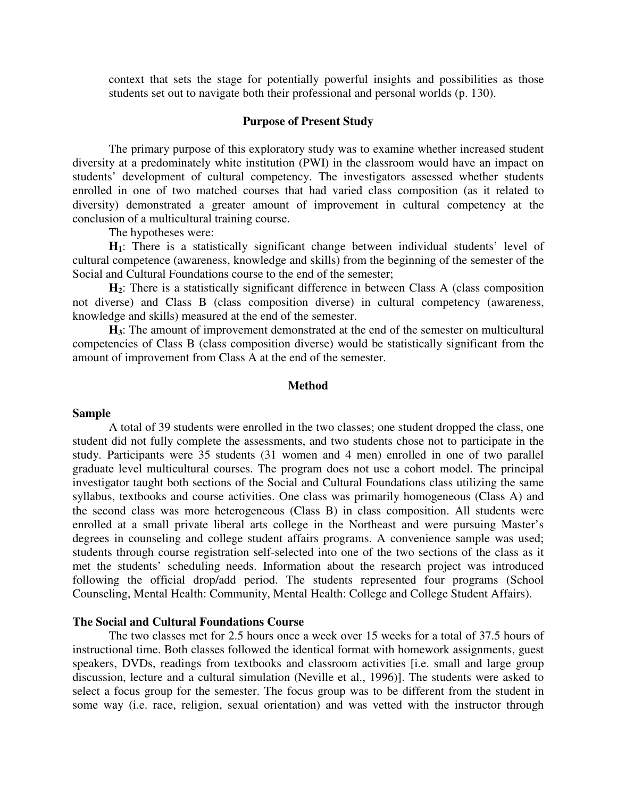context that sets the stage for potentially powerful insights and possibilities as those students set out to navigate both their professional and personal worlds (p. 130).

## **Purpose of Present Study**

The primary purpose of this exploratory study was to examine whether increased student diversity at a predominately white institution (PWI) in the classroom would have an impact on students' development of cultural competency. The investigators assessed whether students enrolled in one of two matched courses that had varied class composition (as it related to diversity) demonstrated a greater amount of improvement in cultural competency at the conclusion of a multicultural training course.

The hypotheses were:

**H1**: There is a statistically significant change between individual students' level of cultural competence (awareness, knowledge and skills) from the beginning of the semester of the Social and Cultural Foundations course to the end of the semester;

H<sub>2</sub>: There is a statistically significant difference in between Class A (class composition not diverse) and Class B (class composition diverse) in cultural competency (awareness, knowledge and skills) measured at the end of the semester.

**H3**: The amount of improvement demonstrated at the end of the semester on multicultural competencies of Class B (class composition diverse) would be statistically significant from the amount of improvement from Class A at the end of the semester.

#### **Method**

## **Sample**

A total of 39 students were enrolled in the two classes; one student dropped the class, one student did not fully complete the assessments, and two students chose not to participate in the study. Participants were 35 students (31 women and 4 men) enrolled in one of two parallel graduate level multicultural courses. The program does not use a cohort model. The principal investigator taught both sections of the Social and Cultural Foundations class utilizing the same syllabus, textbooks and course activities. One class was primarily homogeneous (Class A) and the second class was more heterogeneous (Class B) in class composition. All students were enrolled at a small private liberal arts college in the Northeast and were pursuing Master's degrees in counseling and college student affairs programs. A convenience sample was used; students through course registration self-selected into one of the two sections of the class as it met the students' scheduling needs. Information about the research project was introduced following the official drop/add period. The students represented four programs (School Counseling, Mental Health: Community, Mental Health: College and College Student Affairs).

## **The Social and Cultural Foundations Course**

The two classes met for 2.5 hours once a week over 15 weeks for a total of 37.5 hours of instructional time. Both classes followed the identical format with homework assignments, guest speakers, DVDs, readings from textbooks and classroom activities [i.e. small and large group discussion, lecture and a cultural simulation (Neville et al., 1996)]. The students were asked to select a focus group for the semester. The focus group was to be different from the student in some way (i.e. race, religion, sexual orientation) and was vetted with the instructor through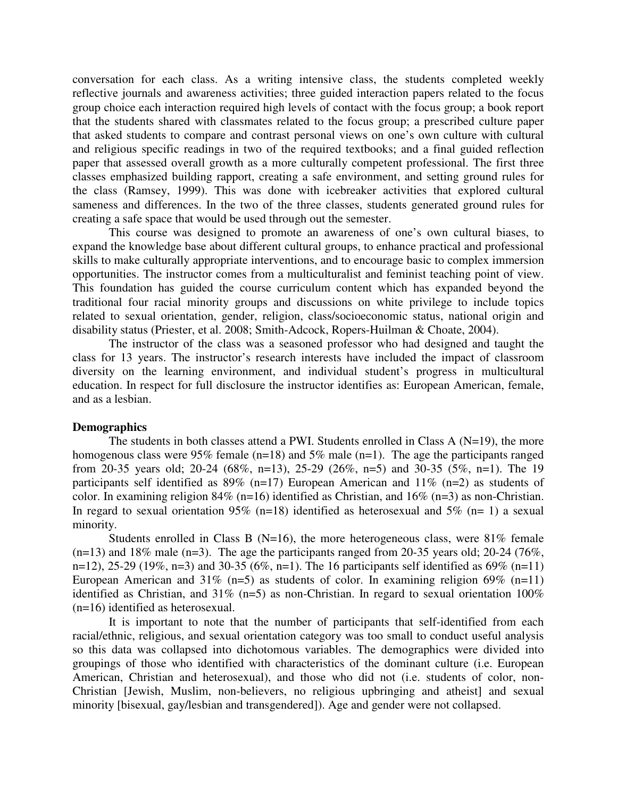conversation for each class. As a writing intensive class, the students completed weekly reflective journals and awareness activities; three guided interaction papers related to the focus group choice each interaction required high levels of contact with the focus group; a book report that the students shared with classmates related to the focus group; a prescribed culture paper that asked students to compare and contrast personal views on one's own culture with cultural and religious specific readings in two of the required textbooks; and a final guided reflection paper that assessed overall growth as a more culturally competent professional. The first three classes emphasized building rapport, creating a safe environment, and setting ground rules for the class (Ramsey, 1999). This was done with icebreaker activities that explored cultural sameness and differences. In the two of the three classes, students generated ground rules for creating a safe space that would be used through out the semester.

This course was designed to promote an awareness of one's own cultural biases, to expand the knowledge base about different cultural groups, to enhance practical and professional skills to make culturally appropriate interventions, and to encourage basic to complex immersion opportunities. The instructor comes from a multiculturalist and feminist teaching point of view. This foundation has guided the course curriculum content which has expanded beyond the traditional four racial minority groups and discussions on white privilege to include topics related to sexual orientation, gender, religion, class/socioeconomic status, national origin and disability status (Priester, et al. 2008; Smith-Adcock, Ropers-Huilman & Choate, 2004).

The instructor of the class was a seasoned professor who had designed and taught the class for 13 years. The instructor's research interests have included the impact of classroom diversity on the learning environment, and individual student's progress in multicultural education. In respect for full disclosure the instructor identifies as: European American, female, and as a lesbian.

## **Demographics**

The students in both classes attend a PWI. Students enrolled in Class A (N=19), the more homogenous class were 95% female ( $n=18$ ) and 5% male ( $n=1$ ). The age the participants ranged from 20-35 years old; 20-24 (68%, n=13), 25-29 (26%, n=5) and 30-35 (5%, n=1). The 19 participants self identified as  $89\%$  (n=17) European American and  $11\%$  (n=2) as students of color. In examining religion 84% (n=16) identified as Christian, and 16% (n=3) as non-Christian. In regard to sexual orientation 95% (n=18) identified as heterosexual and 5% (n= 1) a sexual minority.

Students enrolled in Class B ( $N=16$ ), the more heterogeneous class, were 81% female  $(n=13)$  and 18% male  $(n=3)$ . The age the participants ranged from 20-35 years old; 20-24 (76%, n=12), 25-29 (19%, n=3) and 30-35 (6%, n=1). The 16 participants self identified as 69% (n=11) European American and 31% (n=5) as students of color. In examining religion 69% (n=11) identified as Christian, and 31% (n=5) as non-Christian. In regard to sexual orientation  $100\%$ (n=16) identified as heterosexual.

It is important to note that the number of participants that self-identified from each racial/ethnic, religious, and sexual orientation category was too small to conduct useful analysis so this data was collapsed into dichotomous variables. The demographics were divided into groupings of those who identified with characteristics of the dominant culture (i.e. European American, Christian and heterosexual), and those who did not (i.e. students of color, non-Christian [Jewish, Muslim, non-believers, no religious upbringing and atheist] and sexual minority [bisexual, gay/lesbian and transgendered]). Age and gender were not collapsed.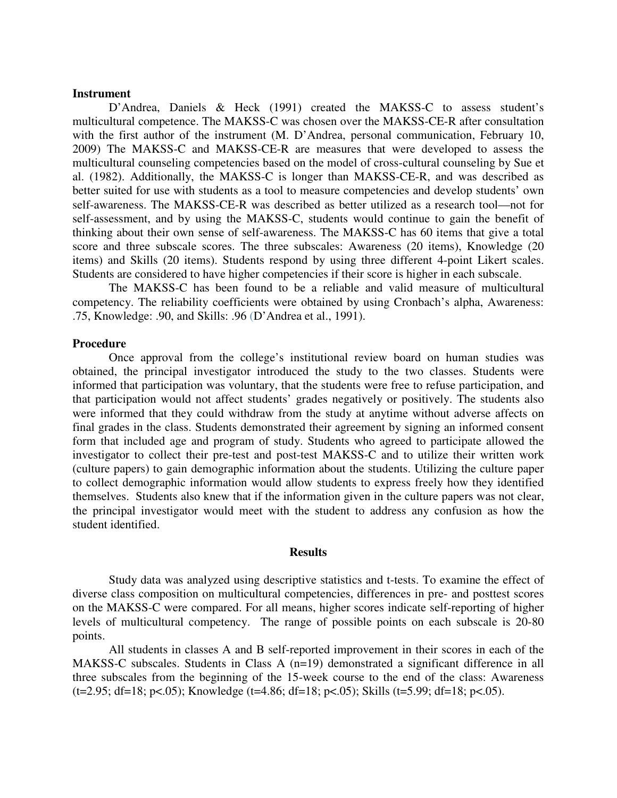## **Instrument**

D'Andrea, Daniels & Heck (1991) created the MAKSS-C to assess student's multicultural competence. The MAKSS-C was chosen over the MAKSS-CE-R after consultation with the first author of the instrument (M. D'Andrea, personal communication, February 10, 2009) The MAKSS-C and MAKSS-CE-R are measures that were developed to assess the multicultural counseling competencies based on the model of cross-cultural counseling by Sue et al. (1982). Additionally, the MAKSS-C is longer than MAKSS-CE-R, and was described as better suited for use with students as a tool to measure competencies and develop students' own self-awareness. The MAKSS-CE-R was described as better utilized as a research tool—not for self-assessment, and by using the MAKSS-C, students would continue to gain the benefit of thinking about their own sense of self-awareness. The MAKSS-C has 60 items that give a total score and three subscale scores. The three subscales: Awareness (20 items), Knowledge (20 items) and Skills (20 items). Students respond by using three different 4-point Likert scales. Students are considered to have higher competencies if their score is higher in each subscale.

 The MAKSS-C has been found to be a reliable and valid measure of multicultural competency. The reliability coefficients were obtained by using Cronbach's alpha, Awareness: .75, Knowledge: .90, and Skills: .96 (D'Andrea et al., 1991).

## **Procedure**

Once approval from the college's institutional review board on human studies was obtained, the principal investigator introduced the study to the two classes. Students were informed that participation was voluntary, that the students were free to refuse participation, and that participation would not affect students' grades negatively or positively. The students also were informed that they could withdraw from the study at anytime without adverse affects on final grades in the class. Students demonstrated their agreement by signing an informed consent form that included age and program of study. Students who agreed to participate allowed the investigator to collect their pre-test and post-test MAKSS-C and to utilize their written work (culture papers) to gain demographic information about the students. Utilizing the culture paper to collect demographic information would allow students to express freely how they identified themselves. Students also knew that if the information given in the culture papers was not clear, the principal investigator would meet with the student to address any confusion as how the student identified.

#### **Results**

Study data was analyzed using descriptive statistics and t-tests. To examine the effect of diverse class composition on multicultural competencies, differences in pre- and posttest scores on the MAKSS-C were compared. For all means, higher scores indicate self-reporting of higher levels of multicultural competency. The range of possible points on each subscale is 20-80 points.

All students in classes A and B self-reported improvement in their scores in each of the MAKSS-C subscales. Students in Class A (n=19) demonstrated a significant difference in all three subscales from the beginning of the 15-week course to the end of the class: Awareness  $(t=2.95; df=18; p<.05)$ ; Knowledge  $(t=4.86; df=18; p<.05)$ ; Skills  $(t=5.99; df=18; p<.05)$ .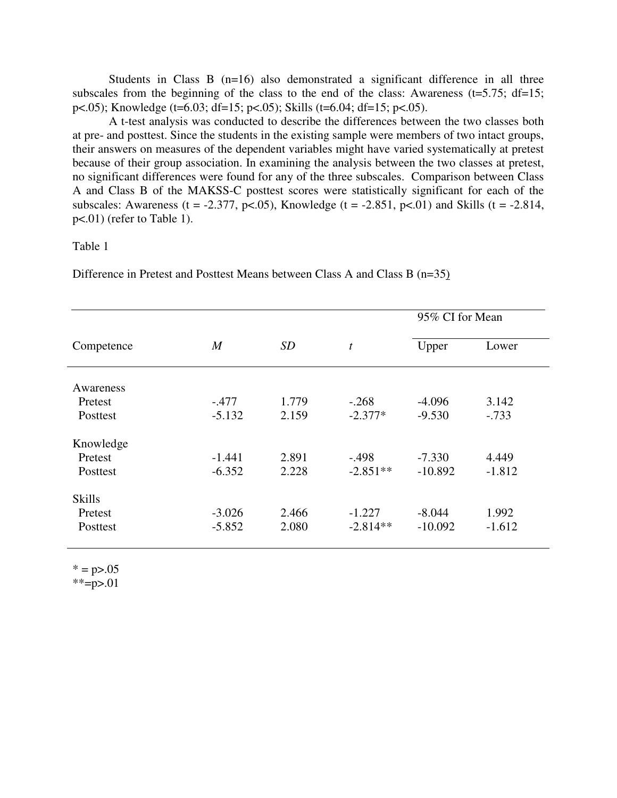Students in Class B (n=16) also demonstrated a significant difference in all three subscales from the beginning of the class to the end of the class: Awareness ( $t=5.75$ ;  $df=15$ ; p<.05); Knowledge (t=6.03; df=15; p<.05); Skills (t=6.04; df=15; p<.05).

A t-test analysis was conducted to describe the differences between the two classes both at pre- and posttest. Since the students in the existing sample were members of two intact groups, their answers on measures of the dependent variables might have varied systematically at pretest because of their group association. In examining the analysis between the two classes at pretest, no significant differences were found for any of the three subscales. Comparison between Class A and Class B of the MAKSS-C posttest scores were statistically significant for each of the subscales: Awareness (t = -2.377, p<.05), Knowledge (t = -2.851, p<.01) and Skills (t = -2.814, p<.01) (refer to Table 1).

## Table 1

Difference in Pretest and Posttest Means between Class A and Class B (n=35)

| Competence    | $\boldsymbol{M}$ | SD    | $\boldsymbol{t}$ | 95% CI for Mean |          |
|---------------|------------------|-------|------------------|-----------------|----------|
|               |                  |       |                  | Upper           | Lower    |
| Awareness     |                  |       |                  |                 |          |
| Pretest       | $-.477$          | 1.779 | $-.268$          | $-4.096$        | 3.142    |
| Posttest      | $-5.132$         | 2.159 | $-2.377*$        | $-9.530$        | $-.733$  |
| Knowledge     |                  |       |                  |                 |          |
| Pretest       | $-1.441$         | 2.891 | $-.498$          | $-7.330$        | 4.449    |
| Posttest      | $-6.352$         | 2.228 | $-2.851**$       | $-10.892$       | $-1.812$ |
| <b>Skills</b> |                  |       |                  |                 |          |
| Pretest       | $-3.026$         | 2.466 | $-1.227$         | $-8.044$        | 1.992    |
| Posttest      | $-5.852$         | 2.080 | $-2.814**$       | $-10.092$       | $-1.612$ |

 $* = p > .05$ 

 $*={p>}.01$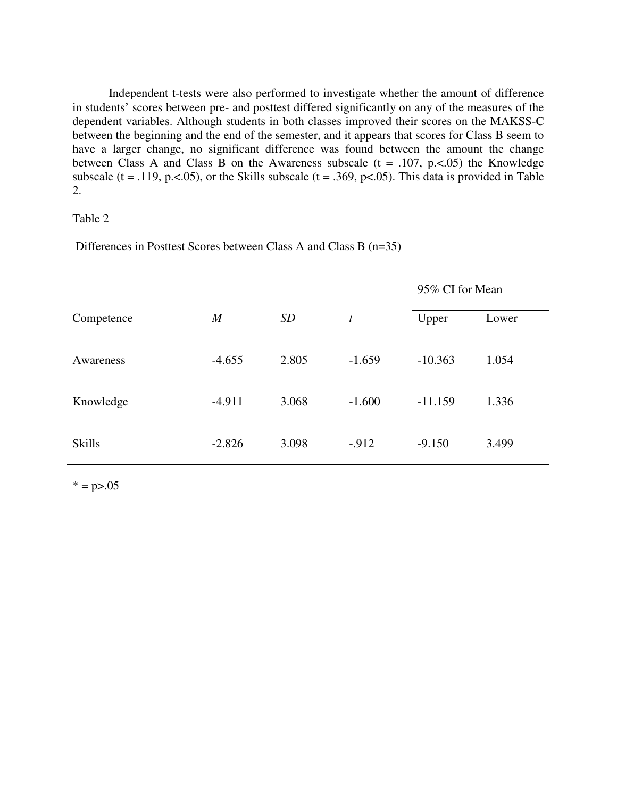Independent t-tests were also performed to investigate whether the amount of difference in students' scores between pre- and posttest differed significantly on any of the measures of the dependent variables. Although students in both classes improved their scores on the MAKSS-C between the beginning and the end of the semester, and it appears that scores for Class B seem to have a larger change, no significant difference was found between the amount the change between Class A and Class B on the Awareness subscale  $(t = .107, p < .05)$  the Knowledge subscale (t = .119, p. <. 05), or the Skills subscale (t = .369, p <. 05). This data is provided in Table 2.

## Table 2

Differences in Posttest Scores between Class A and Class B (n=35)

|               |                |           |                  | 95% CI for Mean |       |
|---------------|----------------|-----------|------------------|-----------------|-------|
| Competence    | $\overline{M}$ | <i>SD</i> | $\boldsymbol{t}$ | Upper           | Lower |
| Awareness     | $-4.655$       | 2.805     | $-1.659$         | $-10.363$       | 1.054 |
| Knowledge     | $-4.911$       | 3.068     | $-1.600$         | $-11.159$       | 1.336 |
| <b>Skills</b> | $-2.826$       | 3.098     | $-.912$          | $-9.150$        | 3.499 |

 $* = p > .05$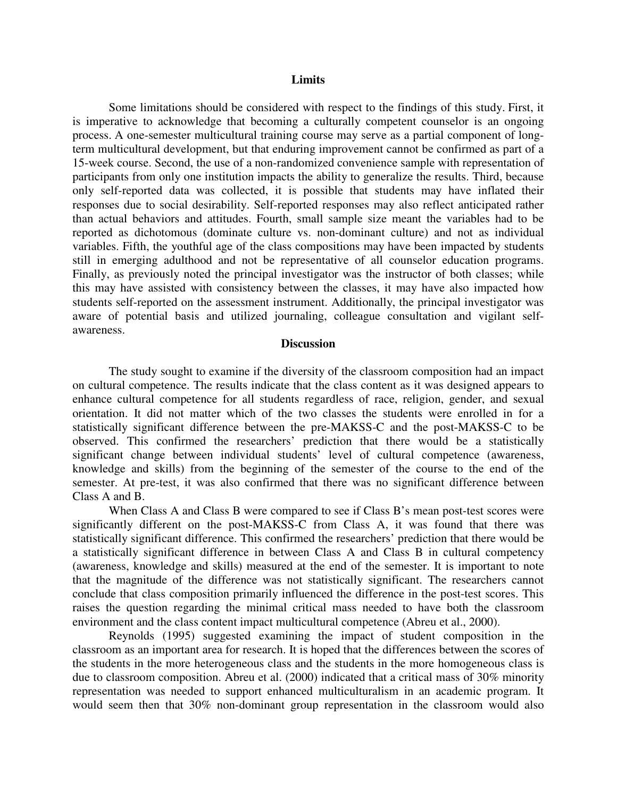#### **Limits**

Some limitations should be considered with respect to the findings of this study. First, it is imperative to acknowledge that becoming a culturally competent counselor is an ongoing process. A one-semester multicultural training course may serve as a partial component of longterm multicultural development, but that enduring improvement cannot be confirmed as part of a 15-week course. Second, the use of a non-randomized convenience sample with representation of participants from only one institution impacts the ability to generalize the results. Third, because only self-reported data was collected, it is possible that students may have inflated their responses due to social desirability. Self-reported responses may also reflect anticipated rather than actual behaviors and attitudes. Fourth, small sample size meant the variables had to be reported as dichotomous (dominate culture vs. non-dominant culture) and not as individual variables. Fifth, the youthful age of the class compositions may have been impacted by students still in emerging adulthood and not be representative of all counselor education programs. Finally, as previously noted the principal investigator was the instructor of both classes; while this may have assisted with consistency between the classes, it may have also impacted how students self-reported on the assessment instrument. Additionally, the principal investigator was aware of potential basis and utilized journaling, colleague consultation and vigilant selfawareness.

#### **Discussion**

The study sought to examine if the diversity of the classroom composition had an impact on cultural competence. The results indicate that the class content as it was designed appears to enhance cultural competence for all students regardless of race, religion, gender, and sexual orientation. It did not matter which of the two classes the students were enrolled in for a statistically significant difference between the pre-MAKSS-C and the post-MAKSS-C to be observed. This confirmed the researchers' prediction that there would be a statistically significant change between individual students' level of cultural competence (awareness, knowledge and skills) from the beginning of the semester of the course to the end of the semester. At pre-test, it was also confirmed that there was no significant difference between Class A and B.

When Class A and Class B were compared to see if Class B's mean post-test scores were significantly different on the post-MAKSS-C from Class A, it was found that there was statistically significant difference. This confirmed the researchers' prediction that there would be a statistically significant difference in between Class A and Class B in cultural competency (awareness, knowledge and skills) measured at the end of the semester. It is important to note that the magnitude of the difference was not statistically significant. The researchers cannot conclude that class composition primarily influenced the difference in the post-test scores. This raises the question regarding the minimal critical mass needed to have both the classroom environment and the class content impact multicultural competence (Abreu et al., 2000).

Reynolds (1995) suggested examining the impact of student composition in the classroom as an important area for research. It is hoped that the differences between the scores of the students in the more heterogeneous class and the students in the more homogeneous class is due to classroom composition. Abreu et al. (2000) indicated that a critical mass of 30% minority representation was needed to support enhanced multiculturalism in an academic program. It would seem then that 30% non-dominant group representation in the classroom would also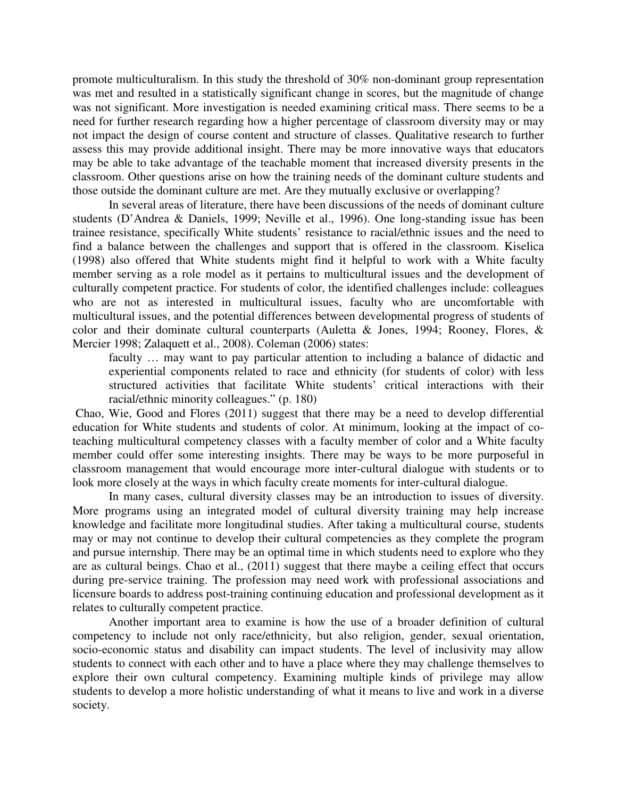promote multiculturalism. In this study the threshold of 30% non-dominant group representation was met and resulted in a statistically significant change in scores, but the magnitude of change was not significant. More investigation is needed examining critical mass. There seems to be a need for further research regarding how a higher percentage of classroom diversity may or may not impact the design of course content and structure of classes. Qualitative research to further assess this may provide additional insight. There may be more innovative ways that educators may be able to take advantage of the teachable moment that increased diversity presents in the classroom. Other questions arise on how the training needs of the dominant culture students and those outside the dominant culture are met. Are they mutually exclusive or overlapping?

In several areas of literature, there have been discussions of the needs of dominant culture students (D'Andrea & Daniels, 1999; Neville et al., 1996). One long-standing issue has been trainee resistance, specifically White students' resistance to racial/ethnic issues and the need to find a balance between the challenges and support that is offered in the classroom. Kiselica (1998) also offered that White students might find it helpful to work with a White faculty member serving as a role model as it pertains to multicultural issues and the development of culturally competent practice. For students of color, the identified challenges include: colleagues who are not as interested in multicultural issues, faculty who are uncomfortable with multicultural issues, and the potential differences between developmental progress of students of color and their dominate cultural counterparts (Auletta & Jones, 1994; Rooney, Flores, & Mercier 1998; Zalaquett et al., 2008). Coleman (2006) states:

faculty … may want to pay particular attention to including a balance of didactic and experiential components related to race and ethnicity (for students of color) with less structured activities that facilitate White students' critical interactions with their racial/ethnic minority colleagues." (p. 180)

 Chao, Wie, Good and Flores (2011) suggest that there may be a need to develop differential education for White students and students of color. At minimum, looking at the impact of coteaching multicultural competency classes with a faculty member of color and a White faculty member could offer some interesting insights. There may be ways to be more purposeful in classroom management that would encourage more inter-cultural dialogue with students or to look more closely at the ways in which faculty create moments for inter-cultural dialogue.

In many cases, cultural diversity classes may be an introduction to issues of diversity. More programs using an integrated model of cultural diversity training may help increase knowledge and facilitate more longitudinal studies. After taking a multicultural course, students may or may not continue to develop their cultural competencies as they complete the program and pursue internship. There may be an optimal time in which students need to explore who they are as cultural beings. Chao et al., (2011) suggest that there maybe a ceiling effect that occurs during pre-service training. The profession may need work with professional associations and licensure boards to address post-training continuing education and professional development as it relates to culturally competent practice.

Another important area to examine is how the use of a broader definition of cultural competency to include not only race/ethnicity, but also religion, gender, sexual orientation, socio-economic status and disability can impact students. The level of inclusivity may allow students to connect with each other and to have a place where they may challenge themselves to explore their own cultural competency. Examining multiple kinds of privilege may allow students to develop a more holistic understanding of what it means to live and work in a diverse society.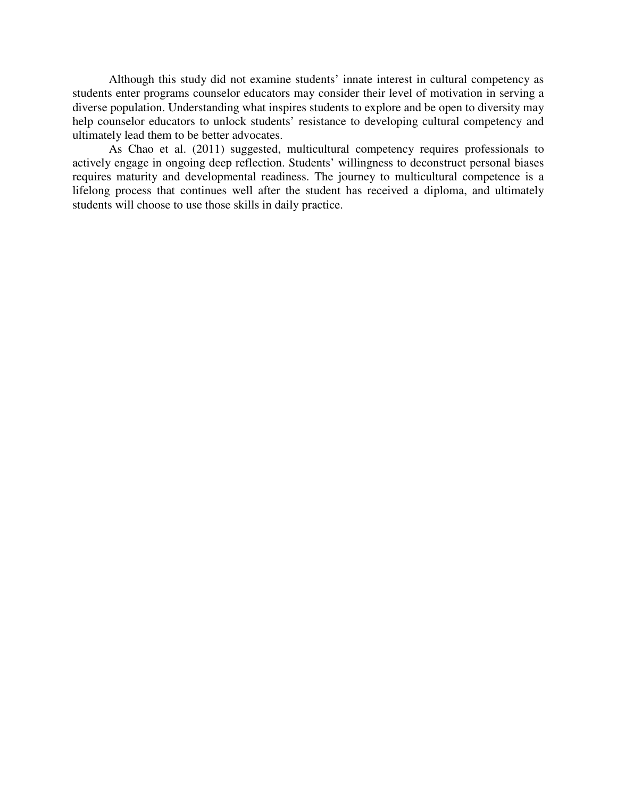Although this study did not examine students' innate interest in cultural competency as students enter programs counselor educators may consider their level of motivation in serving a diverse population. Understanding what inspires students to explore and be open to diversity may help counselor educators to unlock students' resistance to developing cultural competency and ultimately lead them to be better advocates.

As Chao et al. (2011) suggested, multicultural competency requires professionals to actively engage in ongoing deep reflection. Students' willingness to deconstruct personal biases requires maturity and developmental readiness. The journey to multicultural competence is a lifelong process that continues well after the student has received a diploma, and ultimately students will choose to use those skills in daily practice.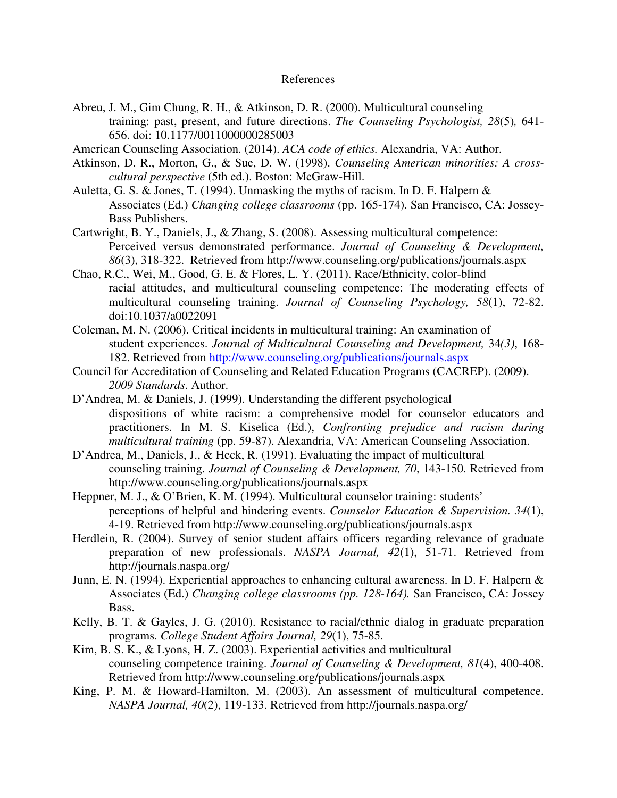## References

- Abreu, J. M., Gim Chung, R. H., & Atkinson, D. R. (2000). Multicultural counseling training: past, present, and future directions. *The Counseling Psychologist, 28*(5)*,* 641- 656. doi: 10.1177/0011000000285003
- American Counseling Association. (2014). *ACA code of ethics.* Alexandria, VA: Author.
- Atkinson, D. R., Morton, G., & Sue, D. W. (1998). *Counseling American minorities: A crosscultural perspective* (5th ed.). Boston: McGraw-Hill.
- Auletta, G. S. & Jones, T. (1994). Unmasking the myths of racism. In D. F. Halpern & Associates (Ed.) *Changing college classrooms* (pp. 165-174). San Francisco, CA: Jossey-Bass Publishers.
- Cartwright, B. Y., Daniels, J., & Zhang, S. (2008). Assessing multicultural competence: Perceived versus demonstrated performance. *Journal of Counseling & Development, 86*(3), 318-322. Retrieved from http://www.counseling.org/publications/journals.aspx
- Chao, R.C., Wei, M., Good, G. E. & Flores, L. Y. (2011). Race/Ethnicity, color-blind racial attitudes, and multicultural counseling competence: The moderating effects of multicultural counseling training. *Journal of Counseling Psychology, 58*(1), 72-82. doi:10.1037/a0022091
- Coleman, M. N. (2006). Critical incidents in multicultural training: An examination of student experiences. *Journal of Multicultural Counseling and Development,* 34*(3)*, 168- 182. Retrieved from http://www.counseling.org/publications/journals.aspx
- Council for Accreditation of Counseling and Related Education Programs (CACREP). (2009). *2009 Standards*. Author.
- D'Andrea, M. & Daniels, J. (1999). Understanding the different psychological dispositions of white racism: a comprehensive model for counselor educators and practitioners. In M. S. Kiselica (Ed.), *Confronting prejudice and racism during multicultural training* (pp. 59-87). Alexandria, VA: American Counseling Association.
- D'Andrea, M., Daniels, J., & Heck, R. (1991). Evaluating the impact of multicultural counseling training. *Journal of Counseling & Development, 70*, 143-150. Retrieved from http://www.counseling.org/publications/journals.aspx
- Heppner, M. J., & O'Brien, K. M. (1994). Multicultural counselor training: students' perceptions of helpful and hindering events. *Counselor Education & Supervision. 34*(1), 4-19. Retrieved from http://www.counseling.org/publications/journals.aspx
- Herdlein, R. (2004). Survey of senior student affairs officers regarding relevance of graduate preparation of new professionals. *NASPA Journal, 42*(1), 51-71. Retrieved from http://journals.naspa.org/
- Junn, E. N. (1994). Experiential approaches to enhancing cultural awareness. In D. F. Halpern & Associates (Ed.) *Changing college classrooms (pp. 128-164).* San Francisco, CA: Jossey Bass.
- Kelly, B. T. & Gayles, J. G. (2010). Resistance to racial/ethnic dialog in graduate preparation programs. *College Student Affairs Journal, 29*(1), 75-85.
- Kim, B. S. K., & Lyons, H. Z. (2003). Experiential activities and multicultural counseling competence training. *Journal of Counseling & Development, 81*(4), 400-408. Retrieved from http://www.counseling.org/publications/journals.aspx
- King, P. M. & Howard-Hamilton, M. (2003). An assessment of multicultural competence. *NASPA Journal, 40*(2), 119-133. Retrieved from http://journals.naspa.org/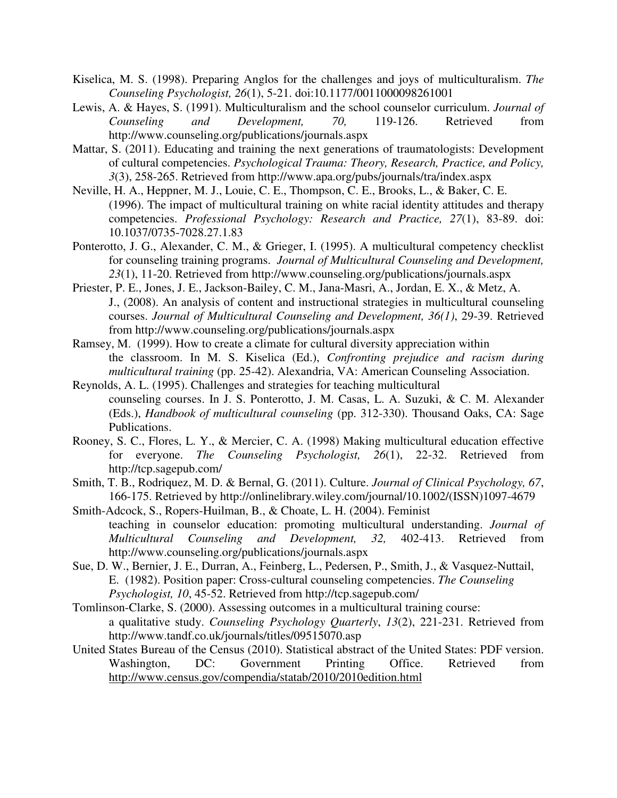- Kiselica, M. S. (1998). Preparing Anglos for the challenges and joys of multiculturalism. *The Counseling Psychologist, 26*(1), 5-21. doi:10.1177/0011000098261001
- Lewis, A. & Hayes, S. (1991). Multiculturalism and the school counselor curriculum. *Journal of Counseling and Development, 70,* 119-126. Retrieved from http://www.counseling.org/publications/journals.aspx
- Mattar, S. (2011). Educating and training the next generations of traumatologists: Development of cultural competencies. *Psychological Trauma: Theory, Research, Practice, and Policy, 3*(3), 258-265. Retrieved from http://www.apa.org/pubs/journals/tra/index.aspx
- Neville, H. A., Heppner, M. J., Louie, C. E., Thompson, C. E., Brooks, L., & Baker, C. E. (1996). The impact of multicultural training on white racial identity attitudes and therapy competencies. *Professional Psychology: Research and Practice, 27*(1), 83-89. doi: 10.1037/0735-7028.27.1.83
- Ponterotto, J. G., Alexander, C. M., & Grieger, I. (1995). A multicultural competency checklist for counseling training programs. *Journal of Multicultural Counseling and Development, 23*(1), 11-20. Retrieved from http://www.counseling.org/publications/journals.aspx
- Priester, P. E., Jones, J. E., Jackson-Bailey, C. M., Jana-Masri, A., Jordan, E. X., & Metz, A. J., (2008). An analysis of content and instructional strategies in multicultural counseling courses. *Journal of Multicultural Counseling and Development, 36(1)*, 29-39. Retrieved from http://www.counseling.org/publications/journals.aspx
- Ramsey, M. (1999). How to create a climate for cultural diversity appreciation within the classroom. In M. S. Kiselica (Ed.), *Confronting prejudice and racism during multicultural training* (pp. 25-42). Alexandria, VA: American Counseling Association.
- Reynolds, A. L. (1995). Challenges and strategies for teaching multicultural counseling courses. In J. S. Ponterotto, J. M. Casas, L. A. Suzuki, & C. M. Alexander (Eds.), *Handbook of multicultural counseling* (pp. 312-330). Thousand Oaks, CA: Sage Publications.
- Rooney, S. C., Flores, L. Y., & Mercier, C. A. (1998) Making multicultural education effective for everyone. *The Counseling Psychologist, 26*(1), 22-32. Retrieved from http://tcp.sagepub.com/
- Smith, T. B., Rodriquez, M. D. & Bernal, G. (2011). Culture. *Journal of Clinical Psychology, 67*, 166-175. Retrieved by http://onlinelibrary.wiley.com/journal/10.1002/(ISSN)1097-4679
- Smith-Adcock, S., Ropers-Huilman, B., & Choate, L. H. (2004). Feminist teaching in counselor education: promoting multicultural understanding. *Journal of Multicultural Counseling and Development, 32,* 402-413. Retrieved from http://www.counseling.org/publications/journals.aspx
- Sue, D. W., Bernier, J. E., Durran, A., Feinberg, L., Pedersen, P., Smith, J., & Vasquez-Nuttail, E. (1982). Position paper: Cross-cultural counseling competencies. *The Counseling Psychologist, 10*, 45-52. Retrieved from http://tcp.sagepub.com/
- Tomlinson-Clarke, S. (2000). Assessing outcomes in a multicultural training course: a qualitative study. *Counseling Psychology Quarterly*, *13*(2), 221-231. Retrieved from http://www.tandf.co.uk/journals/titles/09515070.asp
- United States Bureau of the Census (2010). Statistical abstract of the United States: PDF version. Washington, DC: Government Printing Office. Retrieved from http://www.census.gov/compendia/statab/2010/2010edition.html